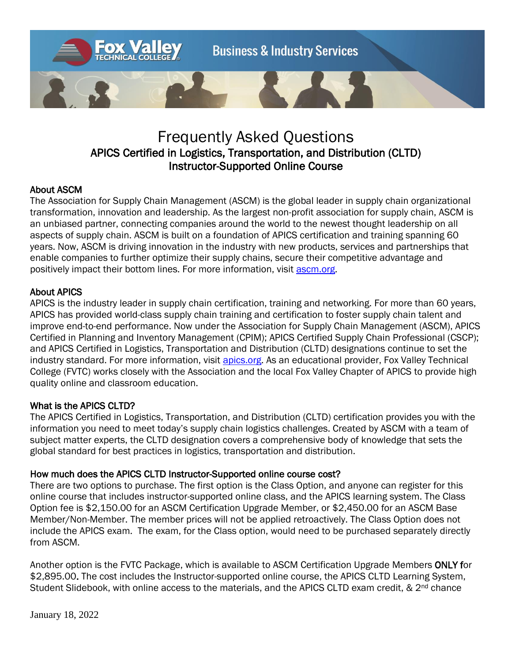

# Frequently Asked Questions APICS Certified in Logistics, Transportation, and Distribution (CLTD) Instructor-Supported Online Course

# About ASCM

The Association for Supply Chain Management (ASCM) is the global leader in supply chain organizational transformation, innovation and leadership. As the largest non-profit association for supply chain, ASCM is an unbiased partner, connecting companies around the world to the newest thought leadership on all aspects of supply chain. ASCM is built on a foundation of APICS certification and training spanning 60 years. Now, ASCM is driving innovation in the industry with new products, services and partnerships that enable companies to further optimize their supply chains, secure their competitive advantage and positively impact their bottom lines. For more information, visit [ascm.org.](http://www.ascm.org/)

## About APICS

APICS is the industry leader in supply chain certification, training and networking. For more than 60 years, APICS has provided world-class supply chain training and certification to foster supply chain talent and improve end-to-end performance. Now under the Association for Supply Chain Management (ASCM), APICS Certified in Planning and Inventory Management (CPIM); APICS Certified Supply Chain Professional (CSCP); and APICS Certified in Logistics, Transportation and Distribution (CLTD) designations continue to set the industry standard. For more information, visit [apics.org.](http://www.ascm.org/) As an educational provider, Fox Valley Technical College (FVTC) works closely with the Association and the local Fox Valley Chapter of APICS to provide high quality online and classroom education.

## What is the APICS CLTD?

The APICS Certified in Logistics, Transportation, and Distribution (CLTD) certification provides you with the information you need to meet today's supply chain logistics challenges. Created by ASCM with a team of subject matter experts, the CLTD designation covers a comprehensive body of knowledge that sets the global standard for best practices in logistics, transportation and distribution.

## How much does the APICS CLTD Instructor-Supported online course cost?

There are two options to purchase. The first option is the Class Option, and anyone can register for this online course that includes instructor-supported online class, and the APICS learning system. The Class Option fee is \$2,150.00 for an ASCM Certification Upgrade Member, or \$2,450.00 for an ASCM Base Member/Non-Member. The member prices will not be applied retroactively. The Class Option does not include the APICS exam. The exam, for the Class option, would need to be purchased separately directly from ASCM.

Another option is the FVTC Package, which is available to ASCM Certification Upgrade Members ONLY for \$2,895.00. The cost includes the Instructor-supported online course, the APICS CLTD Learning System, Student Slidebook, with online access to the materials, and the APICS CLTD exam credit, & 2<sup>nd</sup> chance

January 18, 2022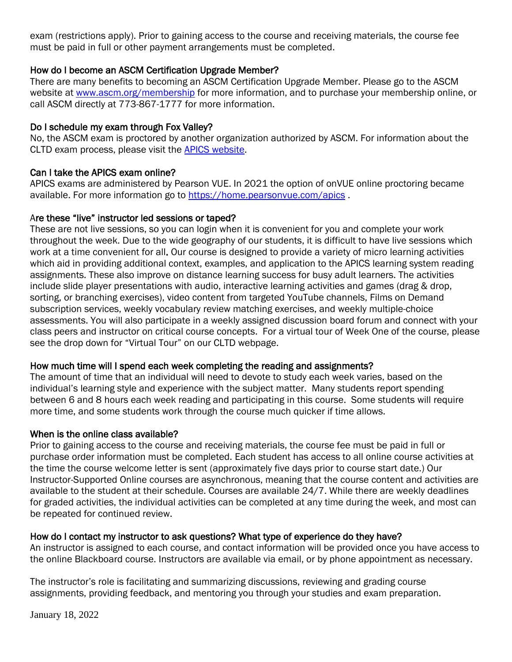exam (restrictions apply). Prior to gaining access to the course and receiving materials, the course fee must be paid in full or other payment arrangements must be completed.

## How do I become an ASCM Certification Upgrade Member?

There are many benefits to becoming an ASCM Certification Upgrade Member. Please go to the ASCM website at [www.ascm.org/membership](http://www.ascm.org/membership) for more information, and to purchase your membership online, or call ASCM directly at 773-867-1777 for more information.

## Do I schedule my exam through Fox Valley?

No, the ASCM exam is proctored by another organization authorized by ASCM. For information about the CLTD exam process, please visit the [APICS website.](http://www.apics.org/credentials-education/credentials/cltd/exam-process)

## Can I take the APICS exam online?

APICS exams are administered by Pearson VUE. In 2021 the option of onVUE online proctoring became available. For more information go to<https://home.pearsonvue.com/apics>.

## Are these "live" instructor led sessions or taped?

These are not live sessions, so you can login when it is convenient for you and complete your work throughout the week. Due to the wide geography of our students, it is difficult to have live sessions which work at a time convenient for all. Our course is designed to provide a variety of micro learning activities which aid in providing additional context, examples, and application to the APICS learning system reading assignments. These also improve on distance learning success for busy adult learners. The activities include slide player presentations with audio, interactive learning activities and games (drag & drop, sorting, or branching exercises), video content from targeted YouTube channels, Films on Demand subscription services, weekly vocabulary review matching exercises, and weekly multiple-choice assessments. You will also participate in a weekly assigned discussion board forum and connect with your class peers and instructor on critical course concepts. For a virtual tour of Week One of the course, please see the drop down for "Virtual Tour" on our CLTD webpage.

## How much time will I spend each week completing the reading and assignments?

The amount of time that an individual will need to devote to study each week varies, based on the individual's learning style and experience with the subject matter. Many students report spending between 6 and 8 hours each week reading and participating in this course. Some students will require more time, and some students work through the course much quicker if time allows.

## When is the online class available?

Prior to gaining access to the course and receiving materials, the course fee must be paid in full or purchase order information must be completed. Each student has access to all online course activities at the time the course welcome letter is sent (approximately five days prior to course start date.) Our Instructor-Supported Online courses are asynchronous, meaning that the course content and activities are available to the student at their schedule. Courses are available 24/7. While there are weekly deadlines for graded activities, the individual activities can be completed at any time during the week, and most can be repeated for continued review.

## How do I contact my instructor to ask questions? What type of experience do they have?

An instructor is assigned to each course, and contact information will be provided once you have access to the online Blackboard course. Instructors are available via email, or by phone appointment as necessary.

The instructor's role is facilitating and summarizing discussions, reviewing and grading course assignments, providing feedback, and mentoring you through your studies and exam preparation.

January 18, 2022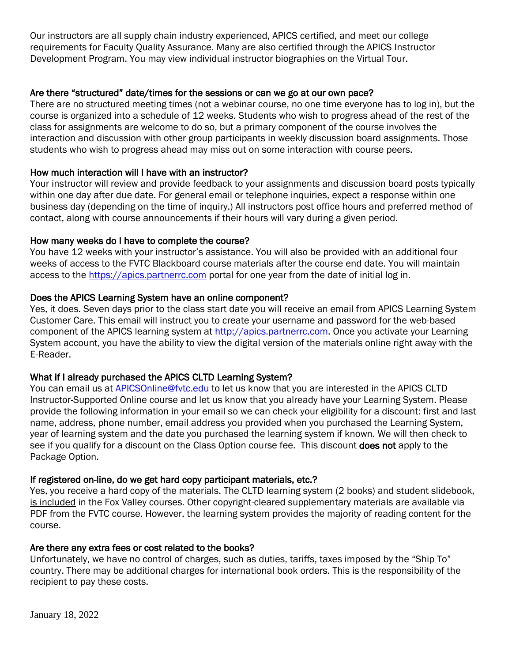Our instructors are all supply chain industry experienced, APICS certified, and meet our college requirements for Faculty Quality Assurance. Many are also certified through the APICS Instructor Development Program. You may view individual instructor biographies on the Virtual Tour.

## Are there "structured" date/times for the sessions or can we go at our own pace?

There are no structured meeting times (not a webinar course, no one time everyone has to log in), but the course is organized into a schedule of 12 weeks. Students who wish to progress ahead of the rest of the class for assignments are welcome to do so, but a primary component of the course involves the interaction and discussion with other group participants in weekly discussion board assignments. Those students who wish to progress ahead may miss out on some interaction with course peers.

## How much interaction will I have with an instructor?

Your instructor will review and provide feedback to your assignments and discussion board posts typically within one day after due date. For general email or telephone inquiries, expect a response within one business day (depending on the time of inquiry.) All instructors post office hours and preferred method of contact, along with course announcements if their hours will vary during a given period.

## How many weeks do I have to complete the course?

You have 12 weeks with your instructor's assistance. You will also be provided with an additional four weeks of access to the FVTC Blackboard course materials after the course end date. You will maintain access to the [https://apics.partnerrc.com](https://apics.partnerrc.com/) portal for one year from the date of initial log in.

## Does the APICS Learning System have an online component?

Yes, it does. Seven days prior to the class start date you will receive an email from APICS Learning System Customer Care. This email will instruct you to create your username and password for the web-based component of the APICS learning system at [http://apics.partnerrc.com.](http://apics.partnerrc.com/) Once you activate your Learning System account, you have the ability to view the digital version of the materials online right away with the E-Reader.

# What if I already purchased the APICS CLTD Learning System?

You can email us at [APICSOnline@fvtc.edu](mailto:APICSOnline@fvtc.edu) to let us know that you are interested in the APICS CLTD Instructor-Supported Online course and let us know that you already have your Learning System. Please provide the following information in your email so we can check your eligibility for a discount: first and last name, address, phone number, email address you provided when you purchased the Learning System, year of learning system and the date you purchased the learning system if known. We will then check to see if you qualify for a discount on the Class Option course fee. This discount **does not** apply to the Package Option.

## If registered on-line, do we get hard copy participant materials, etc.?

Yes, you receive a hard copy of the materials. The CLTD learning system (2 books) and student slidebook, is included in the Fox Valley courses. Other copyright-cleared supplementary materials are available via PDF from the FVTC course. However, the learning system provides the majority of reading content for the course.

## Are there any extra fees or cost related to the books?

Unfortunately, we have no control of charges, such as duties, tariffs, taxes imposed by the "Ship To" country. There may be additional charges for international book orders. This is the responsibility of the recipient to pay these costs.